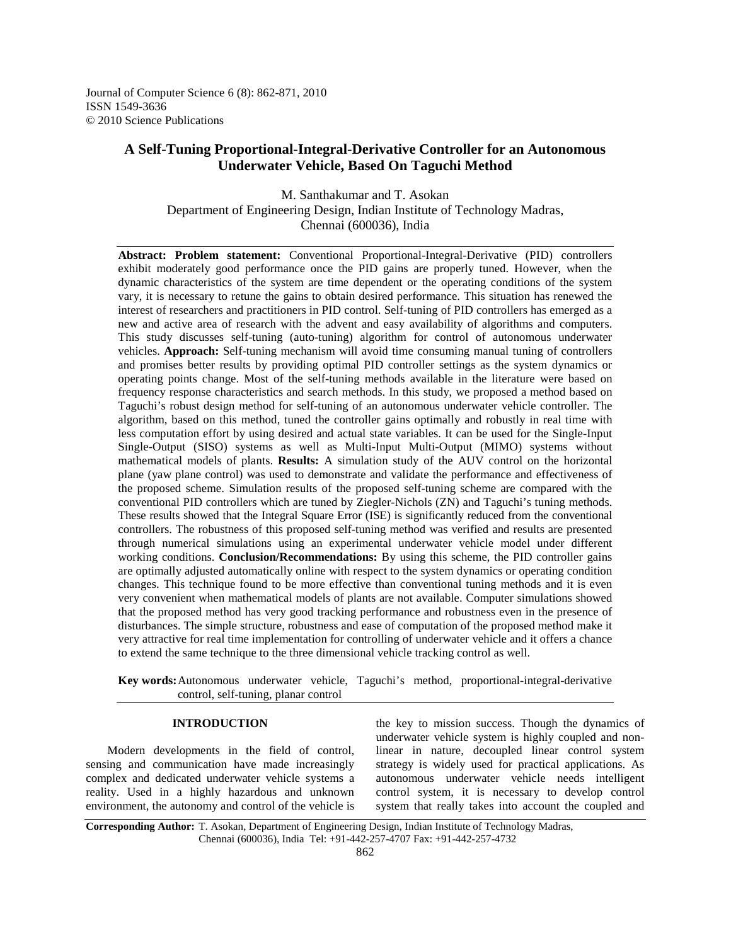Journal of Computer Science 6 (8): 862-871, 2010 ISSN 1549-3636 © 2010 Science Publications

# **A Self-Tuning Proportional-Integral-Derivative Controller for an Autonomous Underwater Vehicle, Based On Taguchi Method**

M. Santhakumar and T. Asokan Department of Engineering Design, Indian Institute of Technology Madras, Chennai (600036), India

**Abstract: Problem statement:** Conventional Proportional-Integral-Derivative (PID) controllers exhibit moderately good performance once the PID gains are properly tuned. However, when the dynamic characteristics of the system are time dependent or the operating conditions of the system vary, it is necessary to retune the gains to obtain desired performance. This situation has renewed the interest of researchers and practitioners in PID control. Self-tuning of PID controllers has emerged as a new and active area of research with the advent and easy availability of algorithms and computers. This study discusses self-tuning (auto-tuning) algorithm for control of autonomous underwater vehicles. **Approach:** Self-tuning mechanism will avoid time consuming manual tuning of controllers and promises better results by providing optimal PID controller settings as the system dynamics or operating points change. Most of the self-tuning methods available in the literature were based on frequency response characteristics and search methods. In this study, we proposed a method based on Taguchi's robust design method for self-tuning of an autonomous underwater vehicle controller. The algorithm, based on this method, tuned the controller gains optimally and robustly in real time with less computation effort by using desired and actual state variables. It can be used for the Single-Input Single-Output (SISO) systems as well as Multi-Input Multi-Output (MIMO) systems without mathematical models of plants. **Results:** A simulation study of the AUV control on the horizontal plane (yaw plane control) was used to demonstrate and validate the performance and effectiveness of the proposed scheme. Simulation results of the proposed self-tuning scheme are compared with the conventional PID controllers which are tuned by Ziegler-Nichols (ZN) and Taguchi's tuning methods. These results showed that the Integral Square Error (ISE) is significantly reduced from the conventional controllers. The robustness of this proposed self-tuning method was verified and results are presented through numerical simulations using an experimental underwater vehicle model under different working conditions. **Conclusion/Recommendations:** By using this scheme, the PID controller gains are optimally adjusted automatically online with respect to the system dynamics or operating condition changes. This technique found to be more effective than conventional tuning methods and it is even very convenient when mathematical models of plants are not available. Computer simulations showed that the proposed method has very good tracking performance and robustness even in the presence of disturbances. The simple structure, robustness and ease of computation of the proposed method make it very attractive for real time implementation for controlling of underwater vehicle and it offers a chance to extend the same technique to the three dimensional vehicle tracking control as well.

**Key words:** Autonomous underwater vehicle, Taguchi's method, proportional-integral-derivative control, self-tuning, planar control

# **INTRODUCTION**

 Modern developments in the field of control, sensing and communication have made increasingly complex and dedicated underwater vehicle systems a reality. Used in a highly hazardous and unknown environment, the autonomy and control of the vehicle is

the key to mission success. Though the dynamics of underwater vehicle system is highly coupled and nonlinear in nature, decoupled linear control system strategy is widely used for practical applications. As autonomous underwater vehicle needs intelligent control system, it is necessary to develop control system that really takes into account the coupled and

**Corresponding Author:** T. Asokan, Department of Engineering Design, Indian Institute of Technology Madras, Chennai (600036), India Tel: +91-442-257-4707 Fax: +91-442-257-4732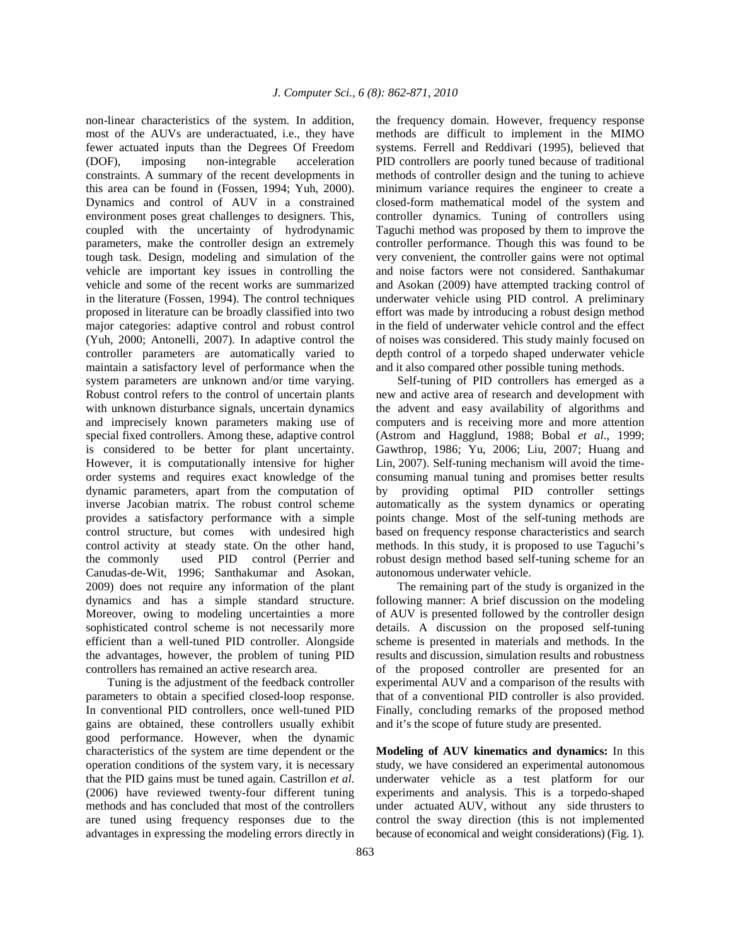non-linear characteristics of the system. In addition, most of the AUVs are underactuated, i.e., they have fewer actuated inputs than the Degrees Of Freedom (DOF), imposing non-integrable acceleration constraints. A summary of the recent developments in this area can be found in (Fossen, 1994; Yuh, 2000). Dynamics and control of AUV in a constrained environment poses great challenges to designers. This, coupled with the uncertainty of hydrodynamic parameters, make the controller design an extremely tough task. Design, modeling and simulation of the vehicle are important key issues in controlling the vehicle and some of the recent works are summarized in the literature (Fossen, 1994). The control techniques proposed in literature can be broadly classified into two major categories: adaptive control and robust control (Yuh, 2000; Antonelli, 2007). In adaptive control the controller parameters are automatically varied to maintain a satisfactory level of performance when the system parameters are unknown and/or time varying. Robust control refers to the control of uncertain plants with unknown disturbance signals, uncertain dynamics and imprecisely known parameters making use of special fixed controllers. Among these, adaptive control is considered to be better for plant uncertainty. However, it is computationally intensive for higher order systems and requires exact knowledge of the dynamic parameters, apart from the computation of inverse Jacobian matrix. The robust control scheme provides a satisfactory performance with a simple control structure, but comes with undesired high control activity at steady state. On the other hand, the commonly used PID control (Perrier and Canudas-de-Wit, 1996; Santhakumar and Asokan, 2009) does not require any information of the plant dynamics and has a simple standard structure. Moreover, owing to modeling uncertainties a more sophisticated control scheme is not necessarily more efficient than a well-tuned PID controller. Alongside the advantages, however, the problem of tuning PID controllers has remained an active research area.

 Tuning is the adjustment of the feedback controller parameters to obtain a specified closed-loop response. In conventional PID controllers, once well-tuned PID gains are obtained, these controllers usually exhibit good performance. However, when the dynamic characteristics of the system are time dependent or the operation conditions of the system vary, it is necessary that the PID gains must be tuned again. Castrillon *et al*. (2006) have reviewed twenty-four different tuning methods and has concluded that most of the controllers are tuned using frequency responses due to the advantages in expressing the modeling errors directly in

the frequency domain. However, frequency response methods are difficult to implement in the MIMO systems. Ferrell and Reddivari (1995), believed that PID controllers are poorly tuned because of traditional methods of controller design and the tuning to achieve minimum variance requires the engineer to create a closed-form mathematical model of the system and controller dynamics. Tuning of controllers using Taguchi method was proposed by them to improve the controller performance. Though this was found to be very convenient, the controller gains were not optimal and noise factors were not considered. Santhakumar and Asokan (2009) have attempted tracking control of underwater vehicle using PID control. A preliminary effort was made by introducing a robust design method in the field of underwater vehicle control and the effect of noises was considered. This study mainly focused on depth control of a torpedo shaped underwater vehicle and it also compared other possible tuning methods.

 Self-tuning of PID controllers has emerged as a new and active area of research and development with the advent and easy availability of algorithms and computers and is receiving more and more attention (Astrom and Hagglund, 1988; Bobal *et al*., 1999; Gawthrop, 1986; Yu, 2006; Liu, 2007; Huang and Lin, 2007). Self-tuning mechanism will avoid the timeconsuming manual tuning and promises better results by providing optimal PID controller settings automatically as the system dynamics or operating points change. Most of the self-tuning methods are based on frequency response characteristics and search methods. In this study, it is proposed to use Taguchi's robust design method based self-tuning scheme for an autonomous underwater vehicle.

 The remaining part of the study is organized in the following manner: A brief discussion on the modeling of AUV is presented followed by the controller design details. A discussion on the proposed self-tuning scheme is presented in materials and methods. In the results and discussion, simulation results and robustness of the proposed controller are presented for an experimental AUV and a comparison of the results with that of a conventional PID controller is also provided. Finally, concluding remarks of the proposed method and it's the scope of future study are presented.

**Modeling of AUV kinematics and dynamics:** In this study, we have considered an experimental autonomous underwater vehicle as a test platform for our experiments and analysis. This is a torpedo-shaped under actuated AUV, without any side thrusters to control the sway direction (this is not implemented because of economical and weight considerations) (Fig. 1).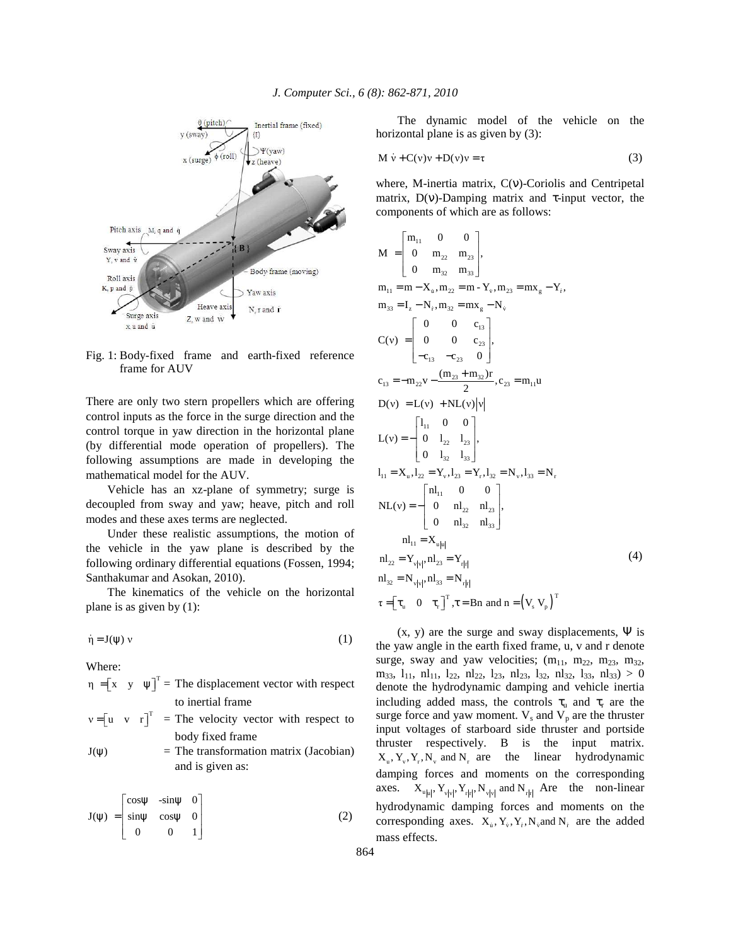

Fig. 1: Body-fixed frame and earth-fixed reference frame for AUV

There are only two stern propellers which are offering control inputs as the force in the surge direction and the control torque in yaw direction in the horizontal plane (by differential mode operation of propellers). The following assumptions are made in developing the mathematical model for the AUV.

 Vehicle has an xz-plane of symmetry; surge is decoupled from sway and yaw; heave, pitch and roll modes and these axes terms are neglected.

 Under these realistic assumptions, the motion of the vehicle in the yaw plane is described by the following ordinary differential equations (Fossen, 1994; Santhakumar and Asokan, 2010).

 The kinematics of the vehicle on the horizontal plane is as given by (1):

$$
\dot{\eta} = J(\psi) \, v \tag{1}
$$

Where:

 $\eta = \begin{bmatrix} x & y & \psi \end{bmatrix}^T$  = The displacement vector with respect to inertial frame  $\overline{a}$ 

$$
v = [u \t v \t r]^T
$$
 = The velocity vector with respect to  
body fixed frame

$$
J(\psi) =
$$
 The transformation matrix (Jacobian) and is given as:

$$
J(\psi) = \begin{bmatrix} \cos\psi & -\sin\psi & 0\\ \sin\psi & \cos\psi & 0\\ 0 & 0 & 1 \end{bmatrix}
$$
 (2)

 The dynamic model of the vehicle on the horizontal plane is as given by  $(3)$ :

$$
M \dot{v} + C(v)v + D(v)v = \tau
$$
 (3)

where, M-inertia matrix, C(ν)-Coriolis and Centripetal matrix,  $D(v)$ -Damping matrix and  $\tau$ -input vector, the components of which are as follows:

$$
M = \begin{bmatrix} m_{11} & 0 & 0 \ 0 & m_{22} & m_{23} \ 0 & m_{32} & m_{33} \end{bmatrix},
$$
  
\n
$$
m_{11} = m - X_{\dot{u}}, m_{22} = m - Y_{\dot{v}}, m_{23} = mx_{g} - Y_{\dot{v}},
$$
  
\n
$$
m_{33} = I_{z} - N_{i}, m_{32} = mx_{g} - N_{\dot{v}}
$$
  
\n
$$
C(v) = \begin{bmatrix} 0 & 0 & c_{13} \ 0 & 0 & c_{23} \ -c_{13} & -c_{23} & 0 \end{bmatrix},
$$
  
\n
$$
c_{13} = -m_{22}v - \frac{(m_{23} + m_{32})r}{2}, c_{23} = m_{11}u
$$
  
\n
$$
D(v) = L(v) + NL(v)|v|
$$
  
\n
$$
L(v) = -\begin{bmatrix} I_{11} & 0 & 0 \ 0 & I_{22} & I_{23} \ 0 & I_{32} & I_{33} \end{bmatrix},
$$
  
\n
$$
I_{11} = X_{u}, I_{22} = Y_{v}, I_{23} = Y_{r}, I_{32} = N_{v}, I_{33} = N_{r}
$$
  
\n
$$
NL(v) = -\begin{bmatrix} n_{11} & 0 & 0 \ 0 & n_{12} & n_{13} \ 0 & n_{132} & n_{13} \end{bmatrix},
$$
  
\n
$$
nI_{11} = X_{u}|v|
$$
  
\n
$$
nI_{22} = Y_{v|v|}, nI_{23} = Y_{r|r|}
$$
  
\n
$$
nI_{32} = N_{v|v|}, nI_{33} = N_{r|r|}
$$
  
\n
$$
\tau = [\tau_{u} \quad 0 \quad \tau_{r}]^{T}, \tau = Bn \text{ and } n = (V_{s} V_{p})^{T}
$$
  
\n(4)

 $(x, y)$  are the surge and sway displacements,  $\Psi$  is the yaw angle in the earth fixed frame, u, v and r denote surge, sway and yaw velocities;  $(m_{11}, m_{22}, m_{23}, m_{32},$  $m_{33}$ ,  $l_{11}$ ,  $n l_{11}$ ,  $l_{22}$ ,  $n l_{22}$ ,  $l_{23}$ ,  $n l_{33}$ ,  $l_{32}$ ,  $n l_{33}$ ,  $l_{33}$ ,  $n l_{33}$ ) > 0 denote the hydrodynamic damping and vehicle inertia including added mass, the controls  $\tau_u$  and  $\tau_r$  are the surge force and yaw moment.  $V_s$  and  $V_p$  are the thruster input voltages of starboard side thruster and portside thruster respectively. B is the input matrix.  $X_{u}$ ,  $Y_{v}$ ,  $Y_{r}$ ,  $N_{v}$  and  $N_{r}$  are the linear hydrodynamic damping forces and moments on the corresponding axes.  $X_{\mathbf{u}|\mathbf{u}|}, Y_{\mathbf{v}|\mathbf{v}|}, Y_{\mathbf{r}|\mathbf{r}|}, N_{\mathbf{v}|\mathbf{v}|}$  and  $N_{\mathbf{r}|\mathbf{r}|}$  Are the non-linear hydrodynamic damping forces and moments on the corresponding axes.  $X_i$ ,  $Y_i$ ,  $Y_i$ ,  $N_i$  and  $N_i$  are the added mass effects.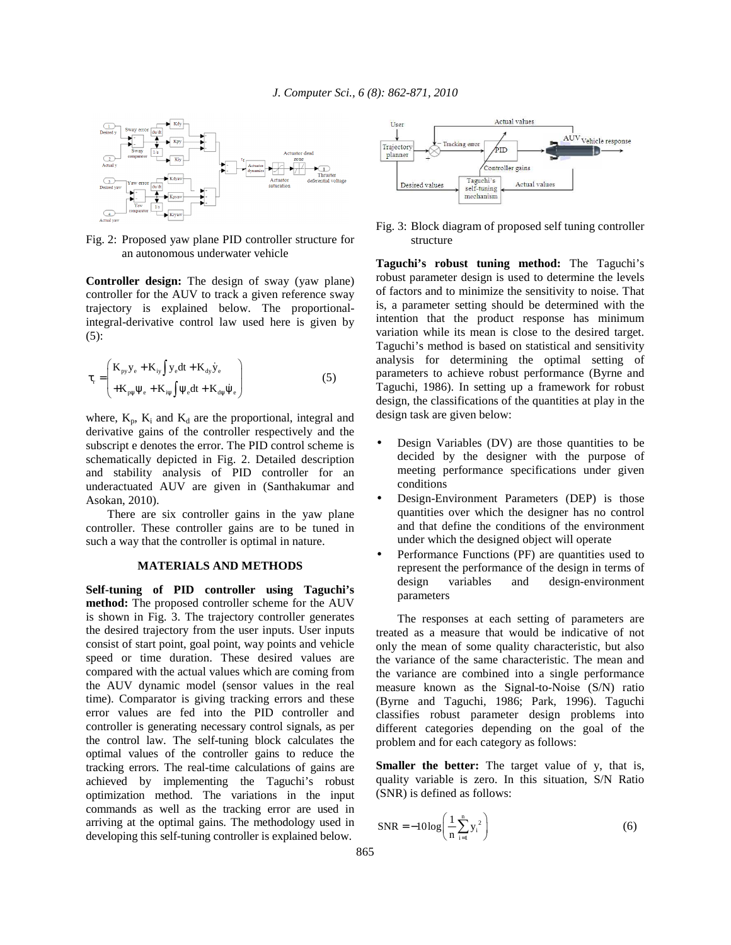

Fig. 2: Proposed yaw plane PID controller structure for an autonomous underwater vehicle

**Controller design:** The design of sway (yaw plane) controller for the AUV to track a given reference sway trajectory is explained below. The proportionalintegral-derivative control law used here is given by  $(5)$ :

$$
\tau_{\rm r} = \begin{pmatrix} \mathbf{K}_{\rm py} \mathbf{y}_{\rm e} + \mathbf{K}_{\rm iy} \int \mathbf{y}_{\rm e} dt + \mathbf{K}_{\rm dy} \dot{\mathbf{y}}_{\rm e} \\ + \mathbf{K}_{\rm py} \psi_{\rm e} + \mathbf{K}_{\rm iy} \int \psi_{\rm e} dt + \mathbf{K}_{\rm dy} \dot{\psi}_{\rm e} \end{pmatrix} \tag{5}
$$

where,  $K_p$ ,  $K_i$  and  $K_d$  are the proportional, integral and derivative gains of the controller respectively and the subscript e denotes the error. The PID control scheme is schematically depicted in Fig. 2. Detailed description and stability analysis of PID controller for an underactuated AUV are given in (Santhakumar and Asokan, 2010).

 There are six controller gains in the yaw plane controller. These controller gains are to be tuned in such a way that the controller is optimal in nature.

#### **MATERIALS AND METHODS**

**Self-tuning of PID controller using Taguchi's method:** The proposed controller scheme for the AUV is shown in Fig. 3. The trajectory controller generates the desired trajectory from the user inputs. User inputs consist of start point, goal point, way points and vehicle speed or time duration. These desired values are compared with the actual values which are coming from the AUV dynamic model (sensor values in the real time). Comparator is giving tracking errors and these error values are fed into the PID controller and controller is generating necessary control signals, as per the control law. The self-tuning block calculates the optimal values of the controller gains to reduce the tracking errors. The real-time calculations of gains are achieved by implementing the Taguchi's robust optimization method. The variations in the input commands as well as the tracking error are used in arriving at the optimal gains. The methodology used in developing this self-tuning controller is explained below.



Fig. 3: Block diagram of proposed self tuning controller structure

**Taguchi's robust tuning method:** The Taguchi's robust parameter design is used to determine the levels of factors and to minimize the sensitivity to noise. That is, a parameter setting should be determined with the intention that the product response has minimum variation while its mean is close to the desired target. Taguchi's method is based on statistical and sensitivity analysis for determining the optimal setting of parameters to achieve robust performance (Byrne and Taguchi, 1986). In setting up a framework for robust design, the classifications of the quantities at play in the design task are given below:

- Design Variables (DV) are those quantities to be decided by the designer with the purpose of meeting performance specifications under given conditions
- Design-Environment Parameters (DEP) is those quantities over which the designer has no control and that define the conditions of the environment under which the designed object will operate
- Performance Functions (PF) are quantities used to represent the performance of the design in terms of design variables and design-environment parameters

 The responses at each setting of parameters are treated as a measure that would be indicative of not only the mean of some quality characteristic, but also the variance of the same characteristic. The mean and the variance are combined into a single performance measure known as the Signal-to-Noise (S/N) ratio (Byrne and Taguchi, 1986; Park, 1996). Taguchi classifies robust parameter design problems into different categories depending on the goal of the problem and for each category as follows:

**Smaller the better:** The target value of y, that is, quality variable is zero. In this situation, S/N Ratio (SNR) is defined as follows:

$$
SNR = -10\log\left(\frac{1}{n}\sum_{i=1}^{n} y_i^2\right)
$$
 (6)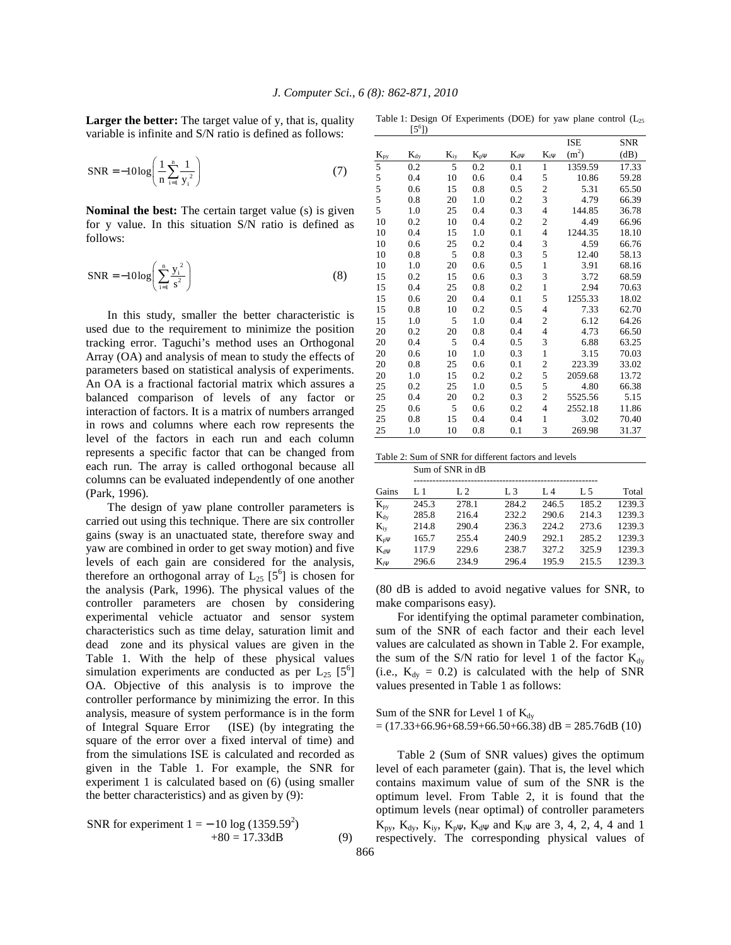**Larger the better:** The target value of y, that is, quality variable is infinite and S/N ratio is defined as follows:

$$
SNR = -10\log\left(\frac{1}{n}\sum_{i=1}^{n}\frac{1}{y_i^2}\right)
$$
 (7)

**Nominal the best:** The certain target value (s) is given for y value. In this situation S/N ratio is defined as follows:

$$
SNR = -10\log\left(\sum_{i=1}^{n} \frac{y_i^2}{s^2}\right)
$$
 (8)

 In this study, smaller the better characteristic is used due to the requirement to minimize the position tracking error. Taguchi's method uses an Orthogonal Array (OA) and analysis of mean to study the effects of parameters based on statistical analysis of experiments. An OA is a fractional factorial matrix which assures a balanced comparison of levels of any factor or interaction of factors. It is a matrix of numbers arranged in rows and columns where each row represents the level of the factors in each run and each column represents a specific factor that can be changed from each run. The array is called orthogonal because all columns can be evaluated independently of one another (Park, 1996).

 The design of yaw plane controller parameters is carried out using this technique. There are six controller gains (sway is an unactuated state, therefore sway and yaw are combined in order to get sway motion) and five levels of each gain are considered for the analysis, therefore an orthogonal array of  $L_{25}$  [5<sup>6</sup>] is chosen for the analysis (Park, 1996). The physical values of the controller parameters are chosen by considering experimental vehicle actuator and sensor system characteristics such as time delay, saturation limit and dead zone and its physical values are given in the Table 1. With the help of these physical values simulation experiments are conducted as per  $L_{25}$  [5<sup>6</sup>] OA. Objective of this analysis is to improve the controller performance by minimizing the error. In this analysis, measure of system performance is in the form of Integral Square Error (ISE) (by integrating the square of the error over a fixed interval of time) and from the simulations ISE is calculated and recorded as given in the Table 1. For example, the SNR for experiment 1 is calculated based on (6) (using smaller the better characteristics) and as given by (9):

SNR for experiment 1 = − 10 log (1359.59<sup>2</sup> ) +80 = 17.33dB (9)

|                          | ת פו     |          |             |                 |                          |                   |            |
|--------------------------|----------|----------|-------------|-----------------|--------------------------|-------------------|------------|
|                          |          |          |             |                 |                          | <b>ISE</b>        | <b>SNR</b> |
| $\mathbf{K}_{\text{py}}$ | $K_{dy}$ | $K_{iy}$ | $K_{p\Psi}$ | $\rm K_{d\Psi}$ | $K_{i\Psi}$              | (m <sup>2</sup> ) | (dB)       |
| 5                        | 0.2      | 5        | 0.2         | 0.1             | $\mathbf{1}$             | 1359.59           | 17.33      |
| 5                        | 0.4      | 10       | 0.6         | 0.4             | 5                        | 10.86             | 59.28      |
| 5                        | 0.6      | 15       | 0.8         | 0.5             | $\overline{c}$           | 5.31              | 65.50      |
| 5                        | 0.8      | 20       | 1.0         | 0.2             | $\overline{\mathbf{3}}$  | 4.79              | 66.39      |
| 5                        | 1.0      | 25       | 0.4         | 0.3             | 4                        | 144.85            | 36.78      |
| 10                       | 0.2      | 10       | 0.4         | 0.2             | 2                        | 4.49              | 66.96      |
| 10                       | 0.4      | 15       | 1.0         | 0.1             | $\overline{4}$           | 1244.35           | 18.10      |
| 10                       | 0.6      | 25       | 0.2         | 0.4             | 3                        | 4.59              | 66.76      |
| 10                       | 0.8      | 5        | 0.8         | 0.3             | 5                        | 12.40             | 58.13      |
| 10                       | 1.0      | 20       | 0.6         | 0.5             | $\mathbf{1}$             | 3.91              | 68.16      |
| 15                       | 0.2      | 15       | 0.6         | 0.3             | 3                        | 3.72              | 68.59      |
| 15                       | 0.4      | 25       | 0.8         | 0.2             | $\mathbf{1}$             | 2.94              | 70.63      |
| 15                       | 0.6      | 20       | 0.4         | 0.1             | 5                        | 1255.33           | 18.02      |
| 15                       | 0.8      | 10       | 0.2         | 0.5             | 4                        | 7.33              | 62.70      |
| 15                       | 1.0      | 5        | 1.0         | 0.4             | $\overline{\mathbf{c}}$  | 6.12              | 64.26      |
| 20                       | 0.2      | 20       | 0.8         | 0.4             | $\overline{4}$           | 4.73              | 66.50      |
| 20                       | 0.4      | 5        | 0.4         | 0.5             | 3                        | 6.88              | 63.25      |
| 20                       | 0.6      | 10       | 1.0         | 0.3             | $\mathbf{1}$             | 3.15              | 70.03      |
| 20                       | 0.8      | 25       | 0.6         | 0.1             | $\overline{c}$           | 223.39            | 33.02      |
| 20                       | 1.0      | 15       | 0.2         | 0.2             | 5                        | 2059.68           | 13.72      |
| 25                       | 0.2      | 25       | 1.0         | 0.5             | 5                        | 4.80              | 66.38      |
| 25                       | 0.4      | 20       | 0.2         | 0.3             | $\overline{c}$           | 5525.56           | 5.15       |
| 25                       | 0.6      | 5        | 0.6         | 0.2             | $\overline{\mathcal{L}}$ | 2552.18           | 11.86      |
| 25                       | 0.8      | 15       | 0.4         | 0.4             | $\mathbf{1}$             | 3.02              | 70.40      |
| 25                       | 1.0      | 10       | 0.8         | 0.1             | 3                        | 269.98            | 31.37      |

Table 2: Sum of SNR for different factors and levels

Sum of SNR in dB

|                 | <b>SUILLOL SINK III UD</b> |                |       |       |       |        |  |
|-----------------|----------------------------|----------------|-------|-------|-------|--------|--|
| Gains           | L 1                        | L <sub>2</sub> | L.3   | $L_4$ | L 5   | Total  |  |
| $K_{\text{pv}}$ | 245.3                      | 278.1          | 284.2 | 246.5 | 185.2 | 1239.3 |  |
| $K_{dy}$        | 285.8                      | 216.4          | 232.2 | 290.6 | 214.3 | 1239.3 |  |
| $K_{iv}$        | 214.8                      | 290.4          | 236.3 | 224.2 | 273.6 | 1239.3 |  |
| $K_{p\Psi}$     | 165.7                      | 255.4          | 240.9 | 292.1 | 285.2 | 1239.3 |  |
| $K_{d\Psi}$     | 117.9                      | 229.6          | 238.7 | 327.2 | 325.9 | 1239.3 |  |
| $K_{i\Psi}$     | 296.6                      | 234.9          | 296.4 | 195.9 | 215.5 | 1239.3 |  |

(80 dB is added to avoid negative values for SNR, to make comparisons easy).

 For identifying the optimal parameter combination, sum of the SNR of each factor and their each level values are calculated as shown in Table 2. For example, the sum of the S/N ratio for level 1 of the factor  $K_{dy}$ (i.e.,  $K_{dy} = 0.2$ ) is calculated with the help of SNR values presented in Table 1 as follows:

Sum of the SNR for Level 1 of  $K_{\text{dv}}$  $=$  (17.33+66.96+68.59+66.50+66.38) dB = 285.76dB (10)

 Table 2 (Sum of SNR values) gives the optimum level of each parameter (gain). That is, the level which contains maximum value of sum of the SNR is the optimum level. From Table 2, it is found that the optimum levels (near optimal) of controller parameters  $K_{py}$ ,  $K_{dy}$ ,  $K_{iy}$ ,  $K_{p}\psi$ ,  $K_{d}\psi$  and  $K_{i}\psi$  are 3, 4, 2, 4, 4 and 1 respectively. The corresponding physical values of

Table 1: Design Of Experiments (DOE) for yaw plane control  $(L<sub>25</sub>)$  $[5^6]$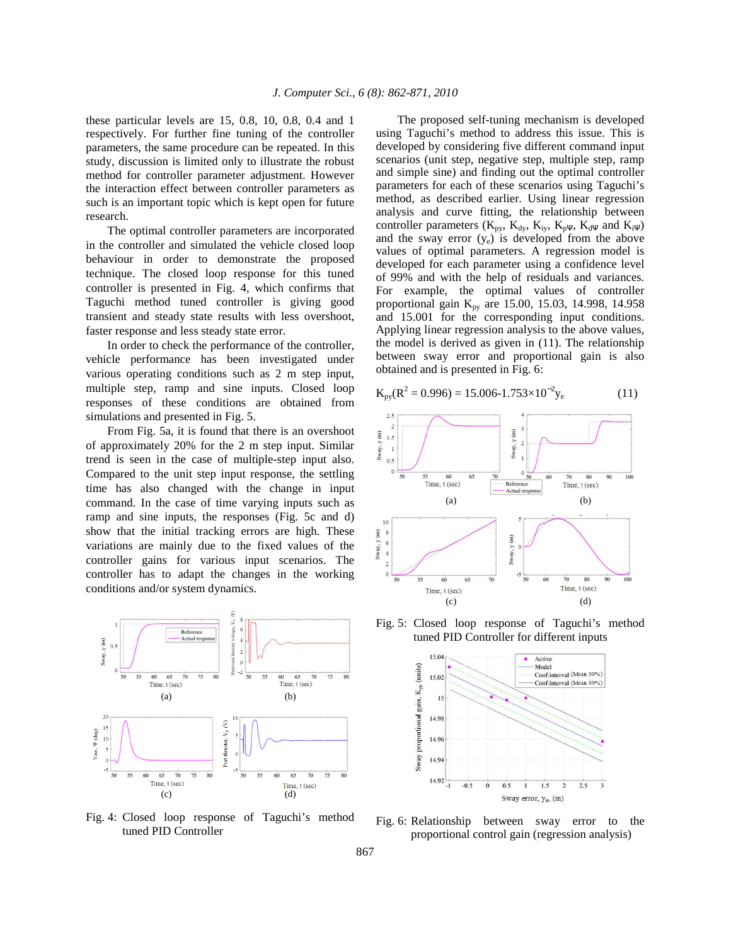these particular levels are 15, 0.8, 10, 0.8, 0.4 and 1 respectively. For further fine tuning of the controller parameters, the same procedure can be repeated. In this study, discussion is limited only to illustrate the robust method for controller parameter adjustment. However the interaction effect between controller parameters as such is an important topic which is kept open for future research.

 The optimal controller parameters are incorporated in the controller and simulated the vehicle closed loop behaviour in order to demonstrate the proposed technique. The closed loop response for this tuned controller is presented in Fig. 4, which confirms that Taguchi method tuned controller is giving good transient and steady state results with less overshoot, faster response and less steady state error.

 In order to check the performance of the controller, vehicle performance has been investigated under various operating conditions such as 2 m step input, multiple step, ramp and sine inputs. Closed loop responses of these conditions are obtained from simulations and presented in Fig. 5.

 From Fig. 5a, it is found that there is an overshoot of approximately 20% for the 2 m step input. Similar trend is seen in the case of multiple-step input also. Compared to the unit step input response, the settling time has also changed with the change in input command. In the case of time varying inputs such as ramp and sine inputs, the responses (Fig. 5c and d) show that the initial tracking errors are high. These variations are mainly due to the fixed values of the controller gains for various input scenarios. The controller has to adapt the changes in the working conditions and/or system dynamics.



Fig. 4: Closed loop response of Taguchi's method tuned PID Controller

 The proposed self-tuning mechanism is developed using Taguchi's method to address this issue. This is developed by considering five different command input scenarios (unit step, negative step, multiple step, ramp and simple sine) and finding out the optimal controller parameters for each of these scenarios using Taguchi's method, as described earlier. Using linear regression analysis and curve fitting, the relationship between controller parameters ( $K_{py}$ ,  $K_{dy}$ ,  $K_{iy}$ ,  $K_{p\Psi}$ ,  $K_{d\Psi}$  and  $K_{i\Psi}$ ) and the sway error  $(y_e)$  is developed from the above values of optimal parameters. A regression model is developed for each parameter using a confidence level of 99% and with the help of residuals and variances. For example, the optimal values of controller proportional gain  $K_{py}$  are 15.00, 15.03, 14.998, 14.958 and 15.001 for the corresponding input conditions. Applying linear regression analysis to the above values, the model is derived as given in (11). The relationship between sway error and proportional gain is also obtained and is presented in Fig. 6:

$$
K_{py}(R^2 = 0.996) = 15.006 - 1.753 \times 10^{-2} y_e
$$
 (11)



Fig. 5: Closed loop response of Taguchi's method tuned PID Controller for different inputs



Fig. 6: Relationship between sway error to the proportional control gain (regression analysis)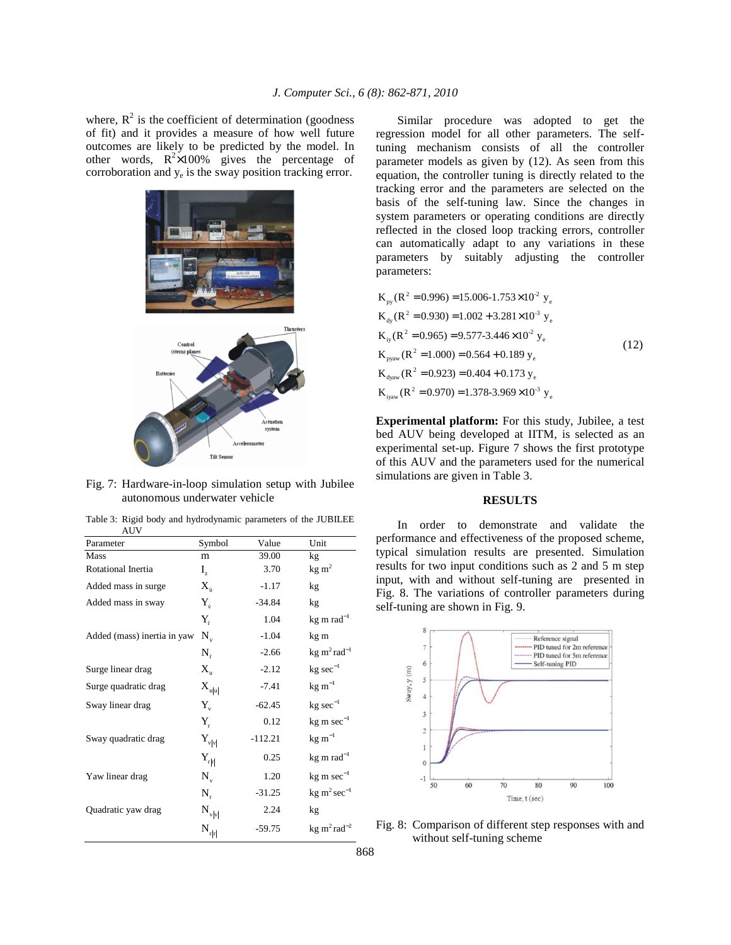where,  $R^2$  is the coefficient of determination (goodness of fit) and it provides a measure of how well future outcomes are likely to be predicted by the model. In other words,  $R^2 \times 100\%$  gives the percentage of corroboration and  $y_e$  is the sway position tracking error.



Fig. 7: Hardware-in-loop simulation setup with Jubilee autonomous underwater vehicle

| Parameter                   | Symbol                                | Value     | Unit                             |
|-----------------------------|---------------------------------------|-----------|----------------------------------|
| Mass                        | m                                     | 39.00     | kg                               |
| Rotational Inertia          | $I_{\rm z}$                           | 3.70      | $kg \, m^2$                      |
| Added mass in surge         | $\mathbf{X}_{\textrm{\tiny n}}$       | $-1.17$   | kg                               |
| Added mass in sway          | $Y_{\dot{v}}$                         | $-34.84$  | kg                               |
|                             | $Y_{\dot{r}}$                         | 1.04      | $kg \text{ m}$ rad <sup>-1</sup> |
| Added (mass) inertia in yaw | $\mathbf{N}_v$                        | $-1.04$   | kg m                             |
|                             | $\mathbf{N}_i$                        | $-2.66$   | $kg \text{ m}^2 \text{rad}^{-1}$ |
| Surge linear drag           | $X_{\rm n}$                           | $-2.12$   | $kg \sec^{-1}$                   |
| Surge quadratic drag        | $\mathbf{X}_{\mathbf{u} \mathbf{u} }$ | $-7.41$   | $kg \, \text{m}^{-1}$            |
| Sway linear drag            | $Y_{v}$                               | $-62.45$  | $kg \sec^{-1}$                   |
|                             | $Y_{\rm r}$                           | 0.12      | $kg \text{ m sec}^{-1}$          |
| Sway quadratic drag         | $Y_{\text{v} \text{v} }$              | $-112.21$ | $\text{kg m}^{-1}$               |
|                             | $\mathbf{Y}_{\text{r}  \text{r} }$    | 0.25      | $kg$ m rad <sup>-1</sup>         |
| Yaw linear drag             | $N_{\rm v}$                           | 1.20      | $kg \text{ m sec}^{-1}$          |
|                             | $N_r$                                 | $-31.25$  | $kg m^2 sec^{-1}$                |
| Quadratic yaw drag          | $\rm N_{\rm v v }$                    | 2.24      | kg                               |
|                             | $\mathbf{N}_{\text{rlr}}$             | $-59.75$  | $kg \text{ m}^2 \text{rad}^{-2}$ |

Table 3: Rigid body and hydrodynamic parameters of the JUBILEE **AUV** 

 Similar procedure was adopted to get the regression model for all other parameters. The selftuning mechanism consists of all the controller parameter models as given by (12). As seen from this equation, the controller tuning is directly related to the tracking error and the parameters are selected on the basis of the self-tuning law. Since the changes in system parameters or operating conditions are directly reflected in the closed loop tracking errors, controller can automatically adapt to any variations in these parameters by suitably adjusting the controller parameters:

$$
K_{py}(R^{2} = 0.996) = 15.006 - 1.753 \times 10^{2} y_{e}
$$
  
\n
$$
K_{dy}(R^{2} = 0.930) = 1.002 + 3.281 \times 10^{3} y_{e}
$$
  
\n
$$
K_{iy}(R^{2} = 0.965) = 9.577 - 3.446 \times 10^{2} y_{e}
$$
  
\n
$$
K_{pyaw}(R^{2} = 1.000) = 0.564 + 0.189 y_{e}
$$
  
\n
$$
K_{dyaw}(R^{2} = 0.923) = 0.404 + 0.173 y_{e}
$$
  
\n
$$
K_{yaw}(R^{2} = 0.970) = 1.378 - 3.969 \times 10^{3} y_{e}
$$

**Experimental platform:** For this study, Jubilee, a test bed AUV being developed at IITM, is selected as an experimental set-up. Figure 7 shows the first prototype of this AUV and the parameters used for the numerical simulations are given in Table 3.

#### **RESULTS**

 In order to demonstrate and validate the performance and effectiveness of the proposed scheme, typical simulation results are presented. Simulation results for two input conditions such as 2 and 5 m step input, with and without self-tuning are presented in Fig. 8. The variations of controller parameters during self-tuning are shown in Fig. 9.



Fig. 8: Comparison of different step responses with and without self-tuning scheme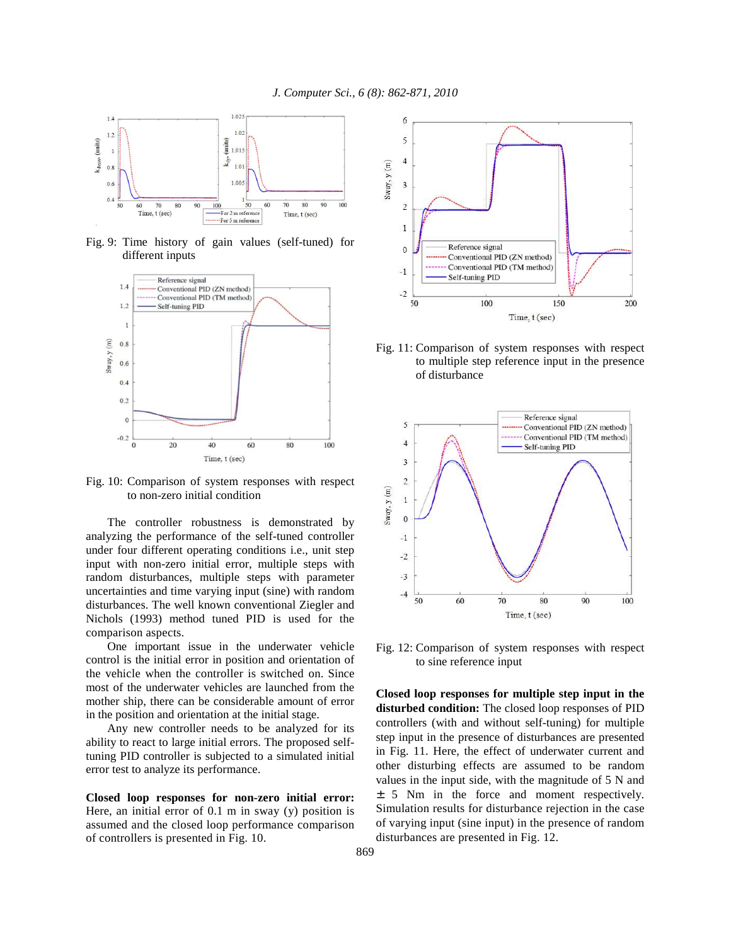

Fig. 9: Time history of gain values (self-tuned) for different inputs



Fig. 10: Comparison of system responses with respect to non-zero initial condition

 The controller robustness is demonstrated by analyzing the performance of the self-tuned controller under four different operating conditions i.e., unit step input with non-zero initial error, multiple steps with random disturbances, multiple steps with parameter uncertainties and time varying input (sine) with random disturbances. The well known conventional Ziegler and Nichols (1993) method tuned PID is used for the comparison aspects.

 One important issue in the underwater vehicle control is the initial error in position and orientation of the vehicle when the controller is switched on. Since most of the underwater vehicles are launched from the mother ship, there can be considerable amount of error in the position and orientation at the initial stage.

 Any new controller needs to be analyzed for its ability to react to large initial errors. The proposed selftuning PID controller is subjected to a simulated initial error test to analyze its performance.

**Closed loop responses for non-zero initial error:**  Here, an initial error of 0.1 m in sway (y) position is assumed and the closed loop performance comparison of controllers is presented in Fig. 10.



Fig. 11: Comparison of system responses with respect to multiple step reference input in the presence of disturbance



Fig. 12: Comparison of system responses with respect to sine reference input

**Closed loop responses for multiple step input in the disturbed condition:** The closed loop responses of PID controllers (with and without self-tuning) for multiple step input in the presence of disturbances are presented in Fig. 11. Here, the effect of underwater current and other disturbing effects are assumed to be random values in the input side, with the magnitude of 5 N and ± 5 Nm in the force and moment respectively. Simulation results for disturbance rejection in the case of varying input (sine input) in the presence of random disturbances are presented in Fig. 12.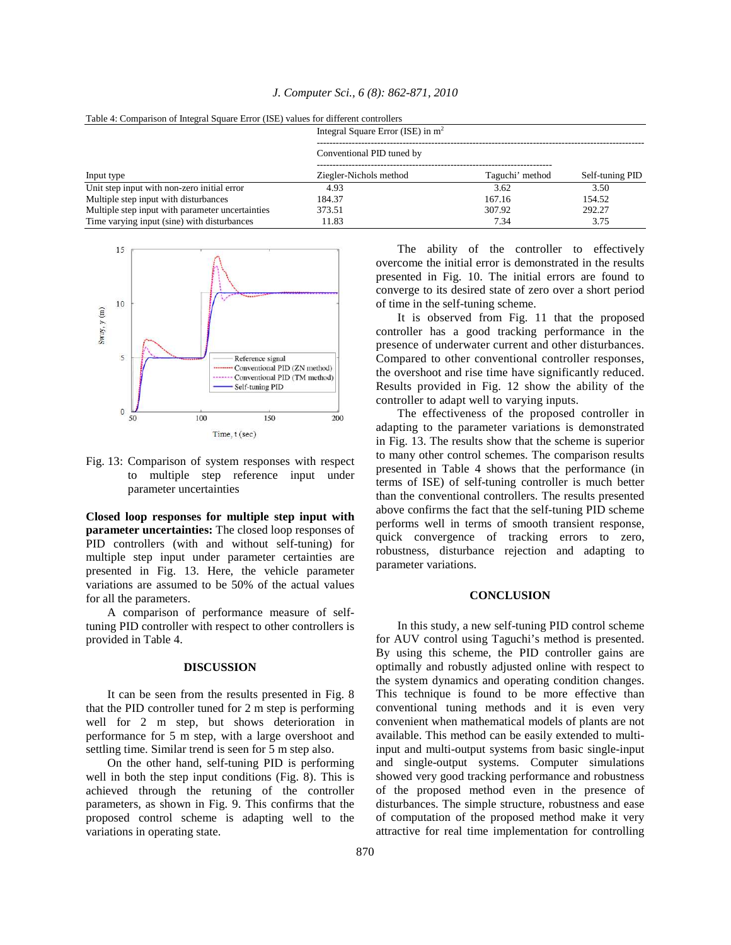|  | J. Computer Sci., 6 (8): 862-871, 2010 |  |  |  |  |  |
|--|----------------------------------------|--|--|--|--|--|
|--|----------------------------------------|--|--|--|--|--|

| Table 4: Comparison of Integral Square Error (ISE) values for different controllers |                                      |                 |                 |  |  |  |  |
|-------------------------------------------------------------------------------------|--------------------------------------|-----------------|-----------------|--|--|--|--|
|                                                                                     | Integral Square Error (ISE) in $m^2$ |                 |                 |  |  |  |  |
|                                                                                     | Conventional PID tuned by            |                 |                 |  |  |  |  |
| Input type                                                                          | Ziegler-Nichols method               | Taguchi' method | Self-tuning PID |  |  |  |  |
| Unit step input with non-zero initial error                                         | 4.93                                 | 3.62            | 3.50            |  |  |  |  |
| Multiple step input with disturbances                                               | 184.37                               | 167.16          | 154.52          |  |  |  |  |
| Multiple step input with parameter uncertainties                                    | 373.51                               | 307.92          | 292.27          |  |  |  |  |
| Time varying input (sine) with disturbances                                         | 11.83                                | 7.34            | 3.75            |  |  |  |  |



Fig. 13: Comparison of system responses with respect to multiple step reference input under parameter uncertainties

**Closed loop responses for multiple step input with parameter uncertainties:** The closed loop responses of PID controllers (with and without self-tuning) for multiple step input under parameter certainties are presented in Fig. 13. Here, the vehicle parameter variations are assumed to be 50% of the actual values for all the parameters.

 A comparison of performance measure of selftuning PID controller with respect to other controllers is provided in Table 4.

### **DISCUSSION**

 It can be seen from the results presented in Fig. 8 that the PID controller tuned for 2 m step is performing well for 2 m step, but shows deterioration in performance for 5 m step, with a large overshoot and settling time. Similar trend is seen for 5 m step also.

 On the other hand, self-tuning PID is performing well in both the step input conditions (Fig. 8). This is achieved through the retuning of the controller parameters, as shown in Fig. 9. This confirms that the proposed control scheme is adapting well to the variations in operating state.

 The ability of the controller to effectively overcome the initial error is demonstrated in the results presented in Fig. 10. The initial errors are found to converge to its desired state of zero over a short period of time in the self-tuning scheme.

 It is observed from Fig. 11 that the proposed controller has a good tracking performance in the presence of underwater current and other disturbances. Compared to other conventional controller responses, the overshoot and rise time have significantly reduced. Results provided in Fig. 12 show the ability of the controller to adapt well to varying inputs.

 The effectiveness of the proposed controller in adapting to the parameter variations is demonstrated in Fig. 13. The results show that the scheme is superior to many other control schemes. The comparison results presented in Table 4 shows that the performance (in terms of ISE) of self-tuning controller is much better than the conventional controllers. The results presented above confirms the fact that the self-tuning PID scheme performs well in terms of smooth transient response, quick convergence of tracking errors to zero, robustness, disturbance rejection and adapting to parameter variations.

#### **CONCLUSION**

 In this study, a new self-tuning PID control scheme for AUV control using Taguchi's method is presented. By using this scheme, the PID controller gains are optimally and robustly adjusted online with respect to the system dynamics and operating condition changes. This technique is found to be more effective than conventional tuning methods and it is even very convenient when mathematical models of plants are not available. This method can be easily extended to multiinput and multi-output systems from basic single-input and single-output systems. Computer simulations showed very good tracking performance and robustness of the proposed method even in the presence of disturbances. The simple structure, robustness and ease of computation of the proposed method make it very attractive for real time implementation for controlling